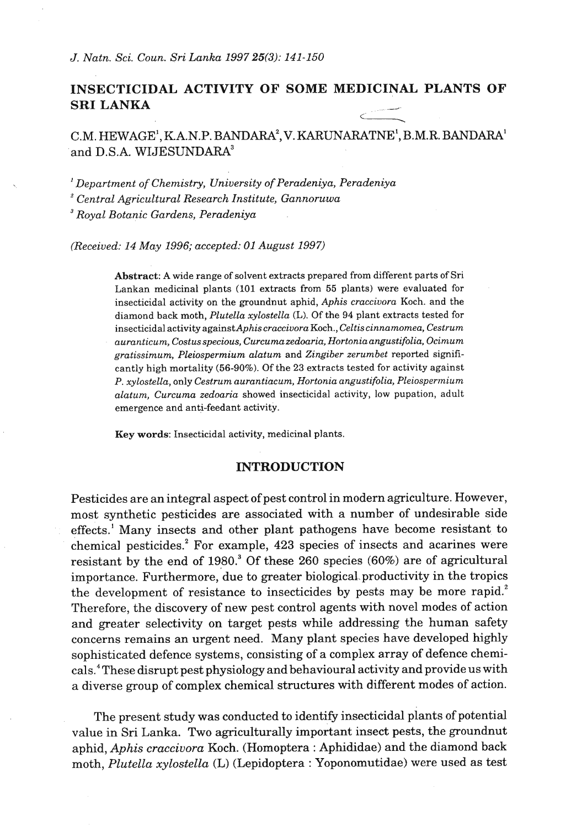# **INSECTICIDAL ACTIVITY OF SOME MEDICINAL PLANTS OF SRI LANKA**  DICINAL PLA<br>
ATNE<sup>1</sup>, B.M.R. B.

## C.M. HEWAGE', RA.N.P. BANDARA~, V. KARUNARATNE', B.M.R. BANDARA' and D.S.A. WIJESUNDARA<sup>3</sup>

' *Department of Chemistry, University of Peradeniya, Peradeniya ventral Agricultural Research Institute, Gannoruwa Royal Botanic Gardens, Peradeniya* 

*(Received: 14 May 1996; accepted: 01 August 1997)* 

*Abstract: A wide range of solvent extracts prepared from different parts of Sri Lankan medicinal plants* **(101** *extracts from* **55** *plants) were evaluated for insecticidal activity on the groundnut aphid, Aphis craccivora Koch. and the diamond back moth, Plutella xylostella* (L). *Of the 94 plant extracts tested for insecticidal activity againstAphis craccivora Koch., Celtiscinnamomea, Cestrum aunmticum, Costusspecious, Curcumazedoaria, Hortoniaangustifolia Ocimum gratissimum, Pleiospermium alatum and Zingiber zerumbet reported significantly high mortality* **(56-90%).** *Of the* **23** *extracts tested for activity against P. xylostella, only Cestrum aurantiacum, Hortonia angustifolia, Pleiospermium alatum, Curcuma zedoaria showed insecticidal activity, low pupation, adult emergence and anti-feedant activity.* 

*Key words: Insecticidal activity, medicinal plants.* 

#### **INTRODUCTION**

Pesticides are an integral aspect of pest control in modern agriculture. However, most synthetic pesticides are associated with a number of undesirable side effects.' Many insects and other plant pathogens have become resistant to chemical pesticides.<sup>2</sup> For example, 423 species of insects and acarines were resistant by the end of 1980.<sup>3</sup> Of these 260 species (60%) are of agricultural importance. Furthermore, due to greater biological productivity in the tropics the development of resistance to insecticides by pests may be more rapid.<sup>2</sup> Therefore, the discovery of new pest control agents with novel modes of action and greater selectivity on target pests while addressing the human safety concerns remains an urgent need. Many plant species have developed highly sophisticated defence systems, consisting of a complex array of defence chemicals.<sup>4</sup> These disrupt pest physiology and behavioural activity and provide us with a diverse group of complex chemical structures with different modes of action.

The present study was conducted to identify insecticidal plants of potential value in Sri Lanka. Two agriculturally important insect pests, the groundnut aphid, **Aphis** *craccivora* Koch. (Homoptera : Aphididae) and the diamond back moth, *Plutella xylostella* **(L)** (Lepidoptera : Yoponomutidae) were used as test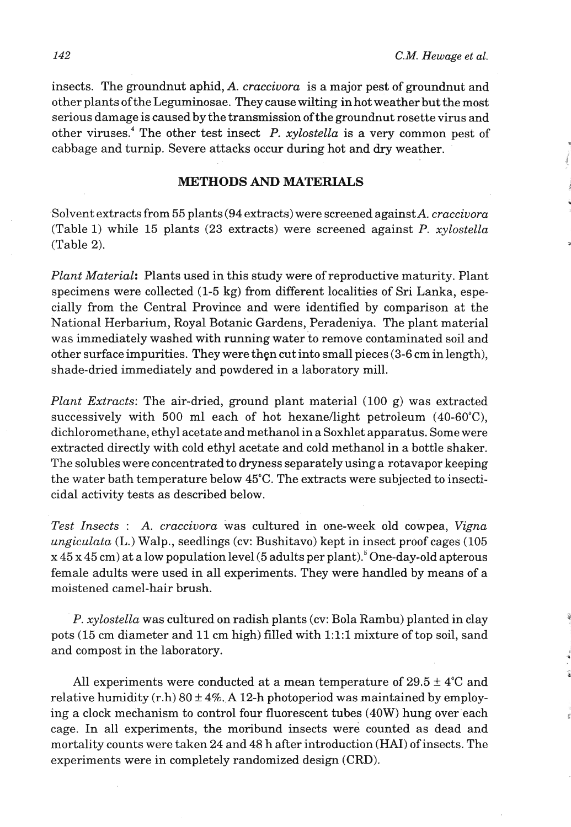insects. The groundnut aphid, *A. craccivora* is a major pest of groundnut and other plants of the Leguminosae. They cause wilting in hot weather but the most serious damage is caused by the transmission ofthe groundnut rosette virus and other viruses.<sup>4</sup> The other test insect P. *xylostella* is a very common pest of cabbage and turnip. Severe attacks occur during hot and dry weather.

#### **METHODS AND MATERIALS**

Solvent extracts from 55 plants (94 extracts) were screened against A. *craccivora* (Table 1) while 15 plants (23 extracts) were screened against P. *xylostella*  (Table 2).

*Plant Material:* Plants used in this study were of reproductive maturity. Plant specimens were collected (1-5 kg) from different localities of Sri Lanka, especially from the Central Province and were identified by comparison at the National Herbarium, Royal Botanic Gardens, Peradeniya. The plant material was immediately washed with running water to remove contaminated soil and other surface impurities. They were then cut into small pieces (3-6 cm in length), shade-dried immediately and powdered in a laboratory mill.

*Plant Extracts:* The air-dried, ground plant material (100 g) was extracted successively with 500 ml each of hot hexane/light petroleum (40-60°C), dichloromethane, ethyl acetate and methanol in a Soxhlet apparatus. Some were extracted directly with cold ethyl acetate and cold methanol in a bottle shaker. The solubles were concentrated to dryness separately using a rotavapor keeping the water bath temperature below 45°C. The extracts were subjected to insecticidal activity tests as described below.

*Test Insects* : *A. craccivora* was cultured in one-week old cowpea, *Vigna ungiculata* (L.) Walp., seedlings (cv: Bushitavo) kept in insect proof cages (105  $x$  45 x 45 cm) at a low population level (5 adults per plant).<sup>5</sup> One-day-old apterous female adults were used in all experiments. They were handled by means of a moistened camel-hair brush.

*P. xylostella* was cultured on radish plants (cv: Bola Rambu) planted in clay pots (15 cm diameter and 11 cm high) filled with 1:l:l mixture of top soil, sand and compost in the laboratory.

All experiments were conducted at a mean temperature of  $29.5 \pm 4^{\circ}$ C and relative humidity  $(r.h)$  80  $\pm$  4%. A 12-h photoperiod was maintained by employing a clock mechanism to control four fluorescent tubes (40W) hung over each cage. In all experiments, the moribund insects were counted as dead and mortality counts were taken 24 and 48 h after introduction **(HAI)** of insects. The experiments were in completely randomized design (CRD).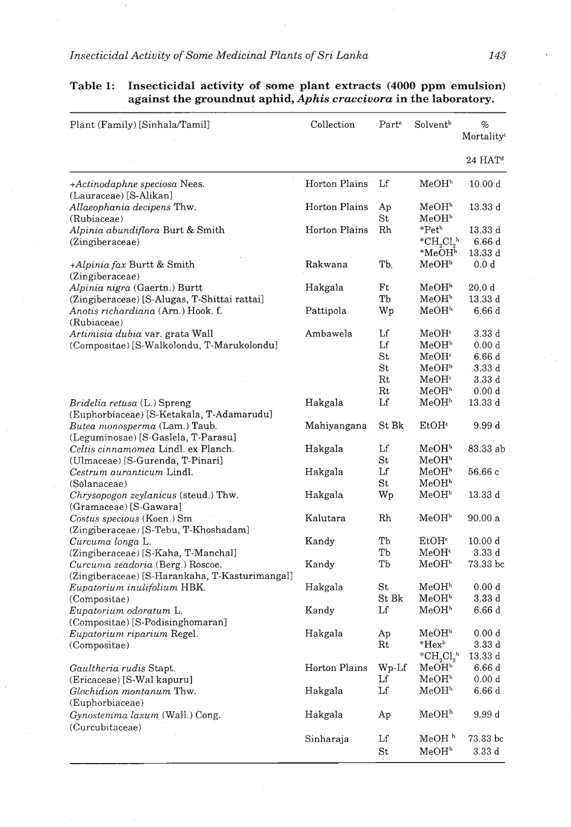| Plant (Family) [Sinhala/Tamil]                                                     | Collection    | Part <sup>a</sup>                | Solvent <sup>b</sup>                                   | %<br>Mortality <sup>c</sup>                          |
|------------------------------------------------------------------------------------|---------------|----------------------------------|--------------------------------------------------------|------------------------------------------------------|
|                                                                                    |               |                                  |                                                        | $24$ HAT <sup>d</sup>                                |
| +Actinodaphne speciosa Nees.                                                       | Horton Plains | Lf                               | MeOH <sup>h</sup>                                      | 10.00 d                                              |
| (Lauraceae) [S-Alikan]<br>Allaeophania decipens Thw.<br>(Rubiaceae)                | Horton Plains | Ap<br>St                         | MeOH <sup>h</sup><br>$_{\mathrm{MeOH}^\mathrm{h}}$     | $13.33\ d$                                           |
| Alpinia abundiflora Burt & Smith<br>(Zingiberaceae)                                | Horton Plains | Rh                               | $*Peth$<br>${}^{\ast}CH_{2}Cl_{2}{}^{h}$               | 13.33 d<br>6.66 d                                    |
| +Alpinia fax Burtt & Smith<br>(Zingiberaceae)                                      | Rakwana       | T <sub>b</sub>                   | $*{\bf MeOH}^{\bf h}$<br>MeOH <sup>h</sup>             | 13.33 d<br>0.0 d                                     |
| Alpinia nigra (Gaertn.) Burtt<br>(Zingiberaceae) [S-Alugas, T-Shittai rattai]      | Hakgala       | Ft<br>Tb                         | MeOH <sup>h</sup><br>MeOH <sup>h</sup>                 | 20.0 <sub>d</sub><br>$13.33\;{\rm d}$                |
| Anotis richardiana (Arn.) Hook. f.<br>(Rubiaceae)                                  | Pattipola     | Wp                               | MeOH <sup>h</sup>                                      | 6.66d                                                |
| Artimisia dubia var. grata Wall<br>(Compositae) [S-Walkolondu, T-Marukolondu]      | Ambawela      | Lf<br>$_{\rm Lf}$<br>St          | MeOH∘<br>MeOH <sup>h</sup><br>MeOH <sup>c</sup>        | 3.33 d<br>0.00 d<br>6.66d                            |
|                                                                                    |               | $^{\rm St}$<br>Rt<br>$_{\rm Rt}$ | $\rm MeOH^h$<br>MeOH <sup>c</sup><br>MeOH <sup>h</sup> | 3.33d<br>3.33d<br>0.00 d                             |
| <i>Bridelia retusa</i> (L.) Spreng<br>(Euphorbiaceae) [S-Ketakala, T-Adamarudu]    | Hakgala       | Lf                               | MeOH <sup>h</sup>                                      | 13.33 d                                              |
| Butea monosperma (Lam.) Taub.<br>(Leguminosae) [S-Gaslela, T-Parasu]               | Mahiyangana   | St Bk                            | $E$ t $OHc$                                            | 9.99 d                                               |
| Celtis cinnamomea Lindl. ex Planch.<br>(Ulmaceae) [S-Gurenda, T-Pinari]            | Hakgala       | Lf<br>St                         | MeOH <sup>h</sup><br>MeOH <sup>h</sup>                 | 83.33 ab                                             |
| Cestrum auranticum Lindl.<br>(Solanaceae)                                          | Hakgala       | Lf<br>$\rm{St}$                  | MeOH <sup>h</sup><br>MeOH"                             | 56.66 c                                              |
| <i>Chrysopogon zeylanicus</i> (steud.) Thw.<br>(Gramaceae) [S-Gawara]              | Hakgala       | Wp                               | MeOHʰ                                                  | 13.33d                                               |
| Costus specious (Koen.) Sm<br>(Zingiberaceae) [S-Tebu, T-Khoshadam]                | Kalutara      | Rh                               | $_{\mathrm{MeOH}^{\mathrm{h}}}$                        | 90.00a                                               |
| Curcuma longa L.<br>(Zingiberaceae) [S-Kaha, T-Manchal]                            | Kandy         | Тb<br>Tb                         | EtOH <sup>c</sup><br>MeOH <sup>c</sup>                 | 10.00 d<br>3.33d                                     |
| Curcuma zeadoria (Berg.) Roscoe.<br>(Zingiberaceae) [S-Harankaha, T-Kasturimangal] | Kandy         | Тb                               | MeOH <sup>h</sup>                                      | 73.33 bc                                             |
| Eupatorium inulifolium HBK.<br>(Compositae)                                        | Hakgala       | $^{\rm St}$<br>St Bk             | MeOH <sup>h</sup><br>MeOH <sup>h</sup>                 | 0.00 <sub>d</sub><br>3.33d                           |
| Eupatorium odoratum L.<br>(Compositae) [S-Podisinghomaran]                         | Kandy         | Lf                               | MeOH <sup>b</sup>                                      | 6.66 d                                               |
| Eupatorium riparium Regel.<br>(Compositae)                                         | Hakgala       | Aр<br>Rt                         | MeOHʰ<br>$*$ Hex $h$                                   | 0.00 d<br>3.33d<br>* $CH_2Cl_2$ <sup>b</sup> 13.33 d |
| Gaultheria rudis Stapt.<br>(Ericaceae) [S-Wal kapuru]                              | Horton Plains | Wp-Lf<br>Lf                      | MeOH <sup>h</sup><br>MeOH <sup>h</sup>                 | 6.66d<br>0.00 d                                      |
| <i>Glochidion montanum Thw.</i><br>(Euphorbiaceae)                                 | Hakgala       | Lf                               | MeOH <sup>h</sup>                                      | 6.66d                                                |
| Gynostemma laxum (Wall.) Cong.<br>(Curcubitaceae)                                  | Hakgala       | Ap                               | MeOH <sup>h</sup>                                      | 9.99 d                                               |
|                                                                                    | Sinharaja     | Lf<br>St                         | MeOH <sup>h</sup><br>MeOH <sup>h</sup>                 | 73.33 bc<br>3.33d                                    |

## **Table 1: Insecticidal activity of some plant extracts (4000 ppm emulsion) against the groundnut aphid,** *Aphis craccivora* **in the laboratory.**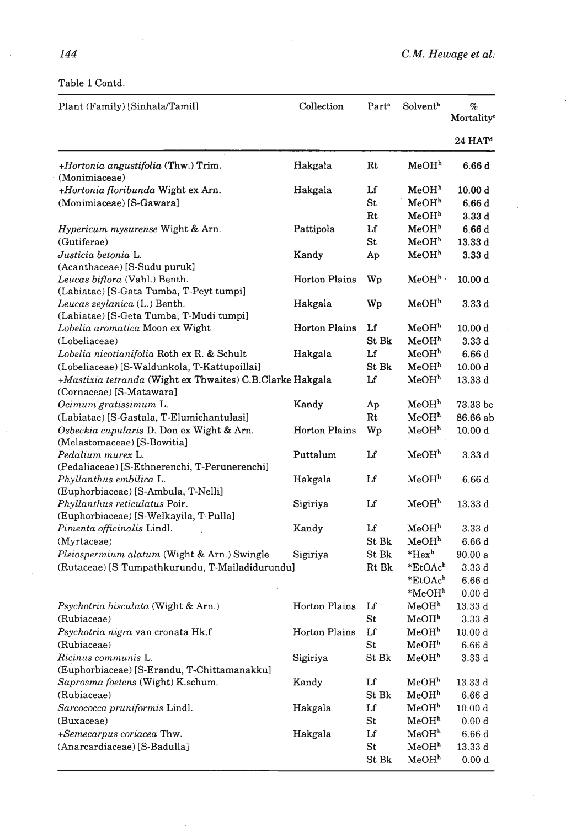Table *1* Contd.

| Plant (Family) [Sinhala/Tamil]                            | Collection           | Part <sup>®</sup> | Solvent <sup>b</sup>  | $\%$<br>Mortality <sup>e</sup> |
|-----------------------------------------------------------|----------------------|-------------------|-----------------------|--------------------------------|
|                                                           |                      |                   |                       | $24$ HAT <sup>d</sup>          |
| +Hortonia angustifolia (Thw.) Trim.                       | Hakgala              | $_{\rm Rt}$       | MeOH <sup>h</sup>     | 6.66d                          |
| (Monimiaceae)<br>+Hortonia floribunda Wight ex Arn.       | Hakgala              | Lf                | MeOH <sup>h</sup>     | 10.00 d                        |
| (Monimiaceae) [S-Gawara]                                  |                      | St                | MeOH <sup>h</sup>     | 6.66 d                         |
|                                                           |                      | Rt                | MeOH <sup>h</sup>     | 3.33d                          |
| Hypericum mysurense Wight & Arn.                          | Pattipola            | Lf                | MeOH <sup>h</sup>     | 6.66d                          |
| (Gutiferae)                                               |                      | $^{\rm St}$       | MeOH <sup>h</sup>     | 13.33 d                        |
| Justicia betonia L.                                       | Kandy                | Ap                | MeOH <sup>h</sup>     | 3.33d                          |
| (Acanthaceae) [S-Sudu puruk]                              |                      |                   |                       |                                |
| Leucas biflora (Vahl.) Benth.                             | Horton Plains        | Wp                | $MeOHh$ .             | 10.00 d                        |
| (Labiatae) [S-Gata Tumba, T-Peyt tumpi]                   |                      |                   |                       |                                |
| Leucas zeylanica (L.) Benth.                              | Hakgala              | Wp                | MeOH <sup>n</sup>     | 3.33 d                         |
| (Labiatae) [S-Geta Tumba, T-Mudi tumpi]                   |                      |                   |                       |                                |
| Lobelia aromatica Moon ex Wight                           | <b>Horton Plains</b> | Lf                | MeOH <sup>h</sup>     | 10.00 d                        |
| (Lobeliaceae)                                             |                      | St Bk             | MeOH <sup>h</sup>     | 3.33d                          |
| Lobelia nicotianifolia Roth ex R. & Schult                | Hakgala              | Lf                | MeOH <sup>h</sup>     | 6.66d                          |
| (Lobeliaceae) [S-Waldunkola, T-Kattupoillai]              |                      | St Bk             | MeOH <sup>h</sup>     | 10.00 d                        |
| +Mastixia tetranda (Wight ex Thwaites) C.B.Clarke Hakgala |                      | Lf                | MeOH <sup>h</sup>     | 13.33 d                        |
| (Cornaceae) [S-Matawara]                                  |                      |                   |                       |                                |
| Ocimum gratissimum L.                                     | Kandy                | Ap                | MeOH <sup>h</sup>     | 73.33 bc                       |
| (Labiatae) [S-Gastala, T-Elumichantulasi]                 |                      | $_{\rm Rt}$       | MeOH <sup>h</sup>     | 86.66 ab                       |
| Osbeckia cupularis D. Don ex Wight & Arn.                 | <b>Horton Plains</b> | Wp                | MeOH <sup>h</sup>     | 10.00 d                        |
| (Melastomaceae) [S-Bowitia]                               |                      |                   |                       |                                |
| Pedalium murex L.                                         | Puttalum             | Lf                | MeOH <sup>h</sup>     | 3.33d                          |
| (Pedaliaceae) [S-Ethnerenchi, T-Perunerenchi]             |                      |                   |                       |                                |
| Phyllanthus embilica L.                                   | Hakgala              | Lf                | MeOH <sup>h</sup>     | 6.66d                          |
| (Euphorbiaceae) [S-Ambula, T-Nelli]                       |                      |                   |                       |                                |
| Phyllanthus reticulatus Poir.                             | Sigiriya             | Lf                | MeOH <sup>h</sup>     | 13.33 d                        |
| (Euphorbiaceae) [S-Welkayila, T-Pulla]                    |                      |                   |                       |                                |
| Pimenta officinalis Lindl.                                | Kandy                | Lf                | MeOH <sup>h</sup>     | 3.33 d                         |
| (Myrtaceae)                                               |                      | St Bk             | MeOH <sup>h</sup>     | 6.66 d                         |
| Pleiospermium alatum (Wight & Arn.) Swingle               | Sigiriya             | $\rm{St}~\rm{Bk}$ | $*$ Hex <sup>h</sup>  | 90.00 a                        |
| (Rutaceae) [S-Tumpathkurundu, T-Mailadidurundu]           |                      | Rt Bk             | *EtOAch               | 3.33 d                         |
|                                                           |                      |                   | *EtOAch               | 6.66 d                         |
|                                                           |                      |                   | $*{\bf MeOH}^{\bf h}$ | 0.00 d                         |
| Psychotria bisculata (Wight & Arn.)                       | Horton Plains        | Lf                | MeOH <sup>h</sup>     | 13.33 d                        |
| (Rubiaceae)                                               |                      | $_{\rm St}$       | MeOH <sup>h</sup>     | 3.33d                          |
| Psychotria nigra van cronata Hk.f                         | Horton Plains        | Lf                | $_{\rm MeOH^{h}}$     | 10.00 d                        |
| (Rubiaceae)                                               |                      | $\rm{St}$         | MeOH <sup>h</sup>     | 6.66d                          |
| Ricinus communis L.                                       | Sigiriya             | St Bk             | MeOH <sup>h</sup>     | 3.33d                          |
| (Euphorbiaceae) [S-Erandu, T-Chittamanakku]               |                      |                   |                       |                                |
| Saprosma foetens (Wight) K.schum.                         | Kandy                | Lf                | MeOH <sup>h</sup>     | 13.33d                         |
| (Rubiaceae)                                               |                      | St Bk             | MeOH <sup>h</sup>     | 6.66 d                         |
| Sarcococca pruniformis Lindl.                             | Hakgala              | $_{\rm Lf}$       | MeOH <sup>h</sup>     | 10.00 d                        |
| (Buxaceae)                                                |                      | St                | MeOH <sup>h</sup>     | 0.00 d                         |
| +Semecarpus coriacea Thw.                                 | Hakgala              | Lf                | MeOH <sup>h</sup>     | 6.66d                          |
| (Anarcardiaceae) [S-Badulla]                              |                      | $\rm{St}$         | MeOH <sup>h</sup>     | 13.33d                         |
|                                                           |                      | St Bk             | MeOH <sup>h</sup>     | 0.00 d                         |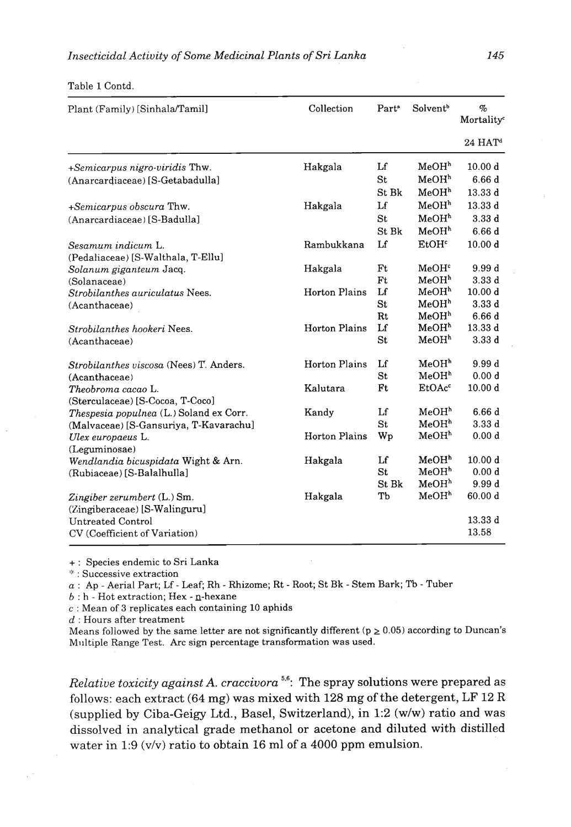|  | Table 1 Contd. |  |
|--|----------------|--|
|  |                |  |

| Plant (Family) [Sinhala/Tamil]          | Collection           | Part <sup>a</sup> | Solvent <sup>b</sup> | $\%$<br>Mortality <sup>c</sup> |
|-----------------------------------------|----------------------|-------------------|----------------------|--------------------------------|
|                                         |                      |                   |                      | $24$ HAT <sup>d</sup>          |
| +Semicarpus nigro-viridis Thw.          | Hakgala              | Lf                | MeOH <sup>h</sup>    | 10.00 d                        |
| (Anarcardiaceae) [S-Getabadulla]        |                      | St                | MeOH <sup>h</sup>    | 6.66d                          |
|                                         |                      | St Bk             | MeOH <sup>h</sup>    | 13.33d                         |
| +Semicarpus obscura Thw.                | Hakgala              | Lf                | MeOH <sup>h</sup>    | 13.33d                         |
| (Anarcardiaceae) [S-Badulla]            |                      | St                | MeOH <sup>h</sup>    | 3.33d                          |
|                                         |                      | St Bk             | MeOH <sup>h</sup>    | 6.66d                          |
| Sesamum indicum L.                      | Rambukkana           | Lf                | EtOH <sup>c</sup>    | 10.00 <sub>d</sub>             |
| (Pedaliaceae) [S-Walthala, T-Ellu]      |                      |                   |                      |                                |
| Solanum giganteum Jacq.                 | Hakgala              | Ft                | MeOH <sup>c</sup>    | 9.99d                          |
| (Solanaceae)                            |                      | Ft                | MeOH <sup>h</sup>    | 3.33d                          |
| Strobilanthes auriculatus Nees.         | <b>Horton Plains</b> | Lf                | MeOH <sup>h</sup>    | 10.00 d                        |
| (Acanthaceae)                           |                      | St                | MeOH <sup>h</sup>    | 3.33d                          |
|                                         |                      | Rt                | MeOH <sup>h</sup>    | 6.66d                          |
| Strobilanthes hookeri Nees.             | <b>Horton Plains</b> | Lf                | MeOH <sup>h</sup>    | 13.33 d                        |
| (Acanthaceae)                           |                      | St                | MeOH <sup>h</sup>    | 3.33d                          |
| Strobilanthes viscosa (Nees) T. Anders. | <b>Horton Plains</b> | Lf                | MeOH <sup>h</sup>    | 9.99d                          |
| (Acanthaceae)                           |                      | St                | MeOH <sup>h</sup>    | 0.00 <sub>d</sub>              |
| Theobroma cacao L.                      | Kalutara             | Ft                | EtOAc <sup>c</sup>   | 10.00 <sub>d</sub>             |
| (Sterculaceae) [S-Cocoa, T-Coco]        |                      |                   |                      |                                |
| Thespesia populnea (L.) Soland ex Corr. | Kandy                | Lf                | MeOH <sup>h</sup>    | 6.66d                          |
| (Malvaceae) [S-Gansuriya, T-Kavarachu]  |                      | St                | MeOH <sup>h</sup>    | 3.33d                          |
| Ulex europaeus L.                       | <b>Horton Plains</b> | Wp                | MeOH <sup>h</sup>    | 0.00 d                         |
| (Leguminosae)                           |                      |                   |                      |                                |
| Wendlandia bicuspidata Wight & Arn.     | Hakgala              | Lf                | MeOH <sup>h</sup>    | 10.00 d                        |
| (Rubiaceae) [S-Balalhulla]              |                      | St                | MeOH <sup>h</sup>    | 0.00 d                         |
|                                         |                      | St Bk             | MeOH <sup>h</sup>    | 9.99d                          |
| Zingiber zerumbert (L.) Sm.             | Hakgala              | Тb                | MeOH <sup>h</sup>    | 60.00 d                        |
| (Zingiberaceae) [S-Walinguru]           |                      |                   |                      |                                |
| Untreated Control                       |                      |                   |                      | 13.33d                         |
| CV (Coefficient of Variation)           |                      |                   |                      | 13.58                          |

+ : Species endemic to Sri Lanka

:? Successive extraction

*a* : Ap - Aerial Part; Lf - Leaf; Rh. - Rhizome; Rt - Root; St Bk - Stem Bark; Tb - Tuber

 $b : h$  - Hot extraction; Hex - n-hexane

**c** : Mean of **3** replicates each containing **10** aphids

d : Hours after treatment

Means followed by the same letter are not significantly different ( $p \ge 0.05$ ) according to Duncan's Milltiple Range Test. Arc sign percentage transformation was used.

*Relative toxicity against A. craccivora* **5.6:** The spray solutions were prepared as follows: each extract (64 mg) was mixed with 128 mg of the detergent, LF 12 R (supplied by Ciba-Geigy Ltd., Basel, Switzerland), in 1:2 (w/w) ratio and was dissolved in analytical grade methanol or acetone and diluted with distilled water in 1:9 ( $v/v$ ) ratio to obtain 16 ml of a 4000 ppm emulsion.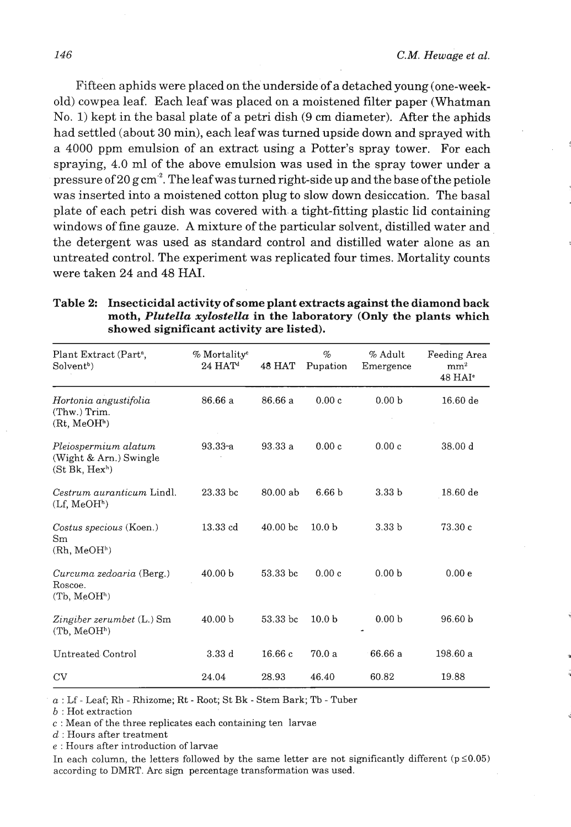Fifteen aphids were placed on the underside of a detached young (one-weekold) cowpea leaf. Each leaf was placed on a moistened filter paper (Whatman No. 1) kept in the basal plate of a petri dish **(9** cm diameter). After the aphids had settled (about 30 min), each leaf was turned upside down and sprayed with a 4000 ppm emulsion of an extract using a Potter's spray tower. For each spraying, 4.0 ml of the above emulsion was used in the spray tower under a pressure of 20 g cm<sup>2</sup>. The leaf was turned right-side up and the base of the petiole was inserted into a moistened cotton plug to slow down desiccation. The basal plate of each petri dish was covered with a tight-fitting plastic lid containing windows of fine gauze. **A** mixture of the particular solvent, distilled water and the detergent was used as standard control and distilled water alone as an untreated control. The experiment was replicated four times. Mortality counts were taken 24 and 48 **HAI.** 

| Plant Extract (Part <sup>a</sup> ,<br>Solvent <sup>b</sup> )                 | % Mortality <sup>c</sup><br>$24$ HAT <sup>d</sup> | 48 HAT              | $\%$<br>Pupation  | % Adult<br>Emergence | Feeding Area<br>mm <sup>2</sup><br>48 HAI <sup>e</sup> |
|------------------------------------------------------------------------------|---------------------------------------------------|---------------------|-------------------|----------------------|--------------------------------------------------------|
| Hortonia angustifolia<br>(Thw.) Trim.<br>(Rt, MeOH <sup>h</sup> )            | 86.66 a                                           | 86.66 a             | 0.00c             | 0.00 <sub>b</sub>    | 16.60de                                                |
| Pleiospermium alatum<br>(Wight & Arn.) Swingle<br>(St Bk, Hex <sup>h</sup> ) | $93.33-a$                                         | 93.33 a             | 0.00c             | 0.00c                | 38.00 d                                                |
| Cestrum auranticum Lindl.<br>(Lf, MeOH <sup>h</sup> )                        | $23.33$ bc                                        | 80.00 ab            | 6.66 <sub>b</sub> | 3.33 <sub>b</sub>    | $18.60$ de                                             |
| Costus specious (Koen.)<br>Sm<br>(Rh, MeOH <sup>h</sup> )                    | 13.33cd                                           | 40.00 <sub>bc</sub> | 10.0 <sub>b</sub> | 3.33 <sub>b</sub>    | 73.30c                                                 |
| Curcuma zedoaria (Berg.)<br>Roscoe.<br>(Tb, MeOH <sup>h</sup> )              | 40.00 <sub>b</sub>                                | 53.33 bc            | 0.00c             | 0.00 <sub>b</sub>    | 0.00 e                                                 |
| Zingiber zerumbet (L.) Sm<br>(Tb, MeOH <sup>h</sup> )                        | 40.00 <sub>b</sub>                                | 53.33 bc            | 10.0 <sub>b</sub> | 0.00 <sub>b</sub>    | 96.60 b                                                |
| Untreated Control                                                            | 3.33d                                             | 16.66c              | 70.0a             | 66.66 a              | 198.60 a                                               |
| CV                                                                           | 24.04                                             | 28.93               | 46.40             | 60.82                | 19.88                                                  |

| Table 2: Insecticidal activity of some plant extracts against the diamond back |
|--------------------------------------------------------------------------------|
| moth, <i>Plutella xylostella</i> in the laboratory (Only the plants which      |
| showed significant activity are listed).                                       |

a : Lf - Leaf; Rh - Rhizome; Rt - Root; St Bk - Stem Bark; **Tb** - Tuber

**<sup>b</sup>**: Hot extraction

 $c$ : Mean of the three replicates each containing ten larvae

 $d$ : Hours after treatment

*e* : Hours after introduction of larvae

In each column, the letters followed by the same letter are not significantly different ( $p \le 0.05$ ) according to DMRT. Arc sign percentage transformation was used.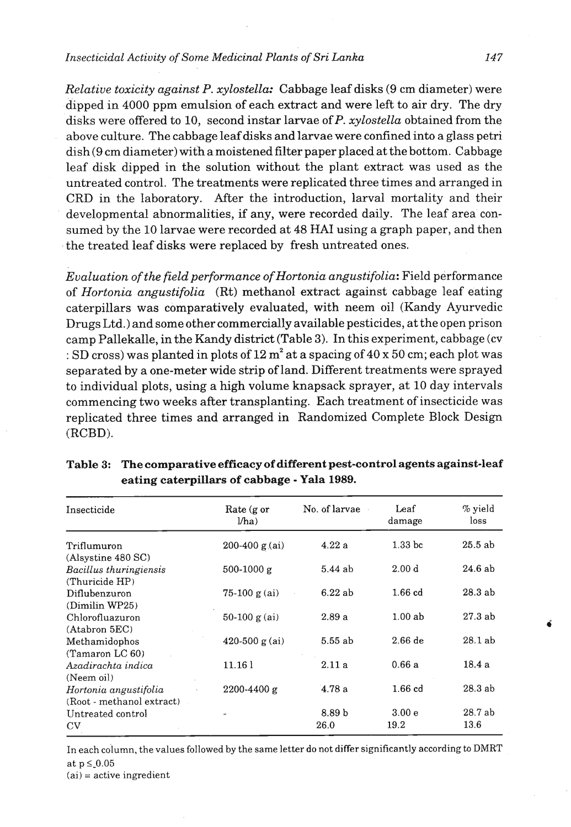#### *Insecticidal Activity of Some Medicinal Plants of Sri Lanka* **147**

*Relative toxicity against P. xylostella:* Cabbage leaf disks **(9** cm diameter) were dipped in 4000 ppm emulsion of each extract and were left to air dry. The dry disks were offered to 10, second instar larvae of P. *xylostella* obtained from the above culture. The cabbage leaf disks and larvae were confined into a glass petri dish (9 cm diameter) with a moistened filter paper placedat the bottom. Cabbage leaf disk dipped in the solution without the plant extract was used as the untreated control. The treatments were replicated three times and arranged in CRD in the laboratory. After the introduction, larval mortality and their developmental abnormalities, if any, were recorded daily. The leaf area consumed by the 10 larvae were recorded at 48 **HA1** using a graph paper, and then the treated leaf disks were replaced by fresh untreated ones.

*Evaluation of the field performance ofHortonia angustifolia:* Field performance of *Hortonia angustifolia* (Rt) methanol extract against cabbage leaf eating caterpillars was comparatively evaluated, with neem oil (Kandy Ayurvedic Drugs Ltd.) and some other commercially available pesticides, at the open prison camp Pallekalle, in the Kandy district (Table **3).** In this experiment, cabbage (cv : SD cross) was planted in plots of  $12 \text{ m}^2$  at a spacing of  $40 \text{ x } 50 \text{ cm}$ ; each plot was separated by a one-meter wide strip of land. Different treatments were sprayed to individual plots, using a high volume knapsack sprayer, at 10 day intervals commencing two weeks after transplanting. Each treatment of insecticide was replicated three times and arranged in Randomized Complete Block Design (RCBD).

| Insecticide               | No. of larvae<br>Rate $(g \text{ or }$<br>Jha |                   | Leaf<br>damage     | % yield<br>loss |  |
|---------------------------|-----------------------------------------------|-------------------|--------------------|-----------------|--|
| Triflumuron               | $200-400$ g (ai)                              | 4.22a             | 1.33 <sub>bc</sub> | $25.5$ ab       |  |
| (Alsystine 480 SC)        |                                               |                   |                    |                 |  |
| Bacillus thuringiensis    | $500-1000 g$                                  | $5.44$ ab         | 2.00 <sub>d</sub>  | 24.6ab          |  |
| (Thuricide HP)            |                                               |                   |                    |                 |  |
| Diflubenzuron             | $75-100 g(ai)$                                | 6.22ab            | $1.66$ $cd$        | 28.3ab          |  |
| (Dimilin WP25)            |                                               |                   |                    |                 |  |
| Chlorofluazuron           | 50-100 $g$ (ai)                               | 2.89a             | 1.00ab             | 27.3ab          |  |
| (Atabron 5EC)             |                                               |                   |                    |                 |  |
| Methamidophos             | 420-500 $g (ai)$                              | 5.55 ab           | $2.66$ de          | 28.1ab          |  |
| (Tamaron LC 60)           |                                               |                   |                    |                 |  |
| Azadirachta indica        | 11.161                                        | 2.11a             | 0.66a              | 18.4 a          |  |
| (Neem oil)                |                                               |                   |                    |                 |  |
| Hortonia angustifolia     | 2200-4400 g                                   | 4.78a             | $1.66$ $cd$        | 28.3ab          |  |
| (Root - methanol extract) |                                               |                   |                    |                 |  |
| Untreated control         |                                               | 8.89 <sub>b</sub> | 3.00 <sub>e</sub>  | 28.7ab          |  |
| $_{\rm CV}$               |                                               | 26.0              | 19.2               | 13.6            |  |

### **Table 3: The comparative efficacy of different pest-control agents against-leaf eating caterpillars of cabbage** - **Yala 1989.**

In each co'lumn, the values followed by the same letter do not differ significantly according to **DMRT**  at  $p \leq 0.05$ 

 $(ai) = active ingredient$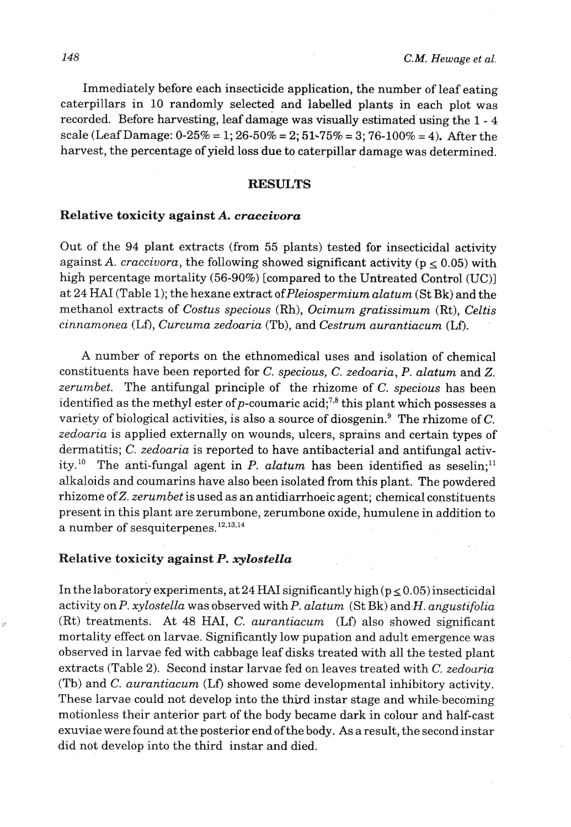Immediately before each insecticide application, the number of leaf eating caterpillars in 10 randomly selected and labelled plants in each plot was recorded. Before harvesting, leaf damage was visually estimated using the 1 - 4 scale (Leaf Damage: 0-25% = 1; 26-50% = 2; 51~75% = **3;** 76-100% = 4). After the harvest, the percentage of yield loss due to caterpillar damage was determined.

#### **RESULTS**

#### Relative toxicity against *A. craccivora*

Out of the 94 plant extracts (from 55 plants) tested for insecticidal activity against A. *craccivora*, the following showed significant activity ( $p \le 0.05$ ) with high percentage mortality (56-90%) [compared to the Untreated Control (UC)] at 24 HAI (Table 1); the hexane extract of Pleiospermium alatum (St Bk) and the methanol extracts of Costus specious (Rh), Ocimum gratissimum (Rt), Celtis cinnamonea (Lf), Curcuma zedoaria (Tb), and Cestrum aurantiacum (Lf).

**A** number of reports on the ethnomedical uses and isolation of chemical constituents have been reported for C. specious, *C.* zedoaria, P. alatum and 2. zerumbet. The antifungal principle of the rhizome of C. specious has been identified as the methyl ester of p-coumaric acid;<sup>7,8</sup> this plant which possesses a variety of biological activities, is also a source of diosgenin.<sup>9</sup> The rhizome of C. zedoaria is applied externally on wounds, ulcers, sprains and certain types of dermatitis; C. zedoaria is reported to have antibacterial and antifungal activity.<sup>10</sup> The anti-fungal agent in P. alatum has been identified as seselin;<sup>11</sup> alkaloids and coumarins have also been isolated from this plant. The powdered rhizome of Z, *zerumbet* is used as an antidiarrhoeic agent; chemical constituents present in this plant are zerumbone, zerumbone oxide, humulene in addition to a number of sesquiterpenes. $^{12,13,14}$ 

#### Relative toxicity against P. *xylostella*

In the laboratory experiments, at 24 **HAI** significantly high ( $p \le 0.05$ ) insecticidal activity on P. xylostella was observed with P. alatum  $(StBk)$  and H. angustifolia (Rt) treatments. At 48 **HAI,** C. aurantiacum **(Lf)** also showed significant mortality effect on larvae. Significantly low pupation and adult emergence was observed in larvae fed with cabbage leaf disks treated with all the tested plant extracts (Table 2). Second instar larvae fed on leaves treated with *C.* zedoaria (Tb) and C. aurantiacum (Lf) showed some developmental inhibitory activity. These larvae could not develop into the third instar stage and while.becoming motionless their anterior part of the body became dark in colour and half-cast exuviae were found at the posterior end ofthe body. As aresult, the second instar did not develop into the third instar and died.

Ó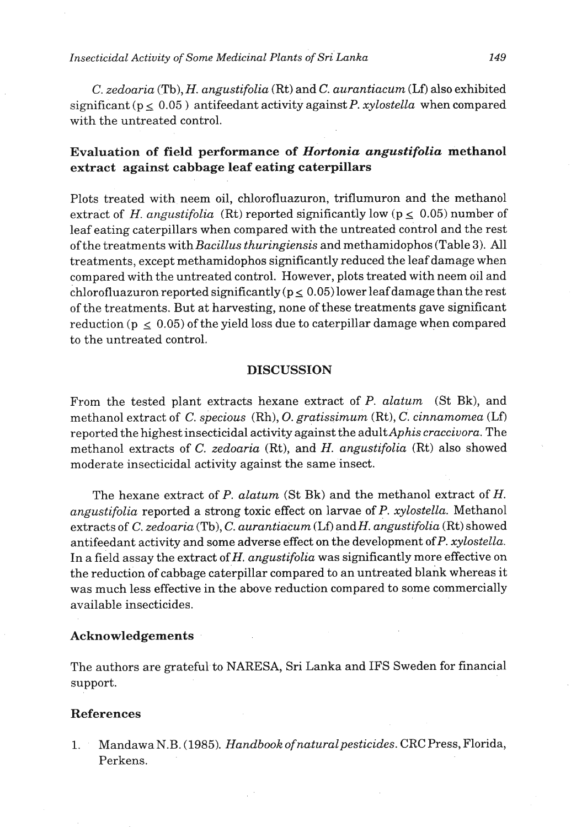*C. zedoaria* (Tb), *H. angustifolia* (Rt) and *C. aurantiacum* (Lf) also exhibited significant ( $p \le 0.05$ ) antifeedant activity against P. *xylostella* when compared with the untreated control.

## **Evaluation of field performance of** *Hortonia angustifolia* **methanol extract against cabbage leaf eating caterpillars**

Plots treated with neem oil, chlorofluazuron, triflumuron and the methanol extract of H. *angustifolia* (Rt) reported significantly low ( $p \leq 0.05$ ) number of leaf eating caterpillars when compared with the untreated control and the rest of the treatments with *Bacillus thuringiensis* and methamidophos (Table **3).** All treatments, except methamidophos significantly reduced the leaf damage when compared with the untreated control. However, plots treated with neem oil and chlorofluazuron reported significantly  $(p \le 0.05)$  lower leaf damage than the rest of the treatments. But at harvesting, none of these treatments gave significant reduction ( $p \le 0.05$ ) of the yield loss due to caterpillar damage when compared to the untreated control.

#### **DISCUSSION**

From the tested plant extracts hexane extract of P. *alatum* (St Bk), and methanol extract of C. *specious* (Rh), O. *gratissimum* (Rt), C. *cinnamomea* (Lf) reported the highest insecticidal activity against the adultAphis *cracciuora.* The methanol extracts of C. *zedoaria* (Rt), and *H. angustifolia* (Rt) also showed moderate insecticidal activity against the same insect.

The hexane extract of P. *alatum* (St Bk) and the methanol extract of H. *angustifolia* reported a strong toxic effect on larvae of P. *xylostella.* Methanol extracts of C. zedoaria (Tb), C. *aurantiacum* (Lf) and H. *angustifolia* (Rt) showed antifeedant activity and some adverse effect on **the** development ofP. *xylostella.*  In a field assay the extract of *H. angustifolia* was significantly more effective on the reduction of cabbage caterpillar compared to an untreated blank whereas it was much less effective in the above reduction compared to some commercially available insecticides.

#### **Acknowledgements**

The authors are grateful to NARESA, Sri Lanka and IFS Sweden for financial support.

#### **References**

1. Mandawa N.B. (1985). *Handbook of naturalpesticides.* CRC Press, Florida, Perkens.